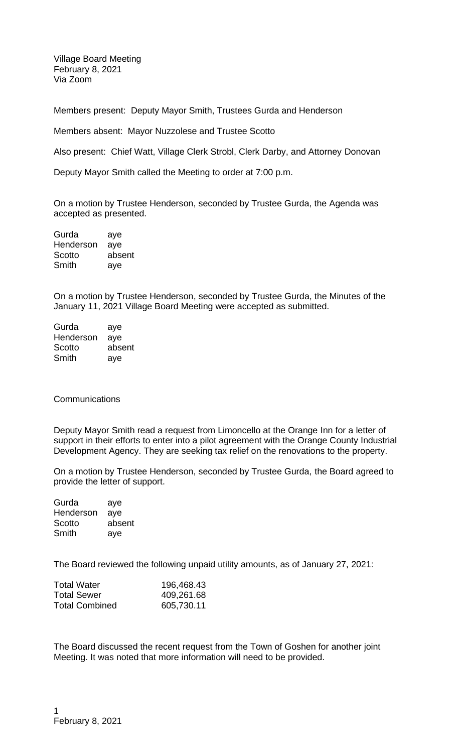Village Board Meeting February 8, 2021 Via Zoom

Members present: Deputy Mayor Smith, Trustees Gurda and Henderson

Members absent: Mayor Nuzzolese and Trustee Scotto

Also present: Chief Watt, Village Clerk Strobl, Clerk Darby, and Attorney Donovan

Deputy Mayor Smith called the Meeting to order at 7:00 p.m.

On a motion by Trustee Henderson, seconded by Trustee Gurda, the Agenda was accepted as presented.

Gurda aye Henderson aye Scotto absent Smith aye

On a motion by Trustee Henderson, seconded by Trustee Gurda, the Minutes of the January 11, 2021 Village Board Meeting were accepted as submitted.

Gurda aye Henderson aye Scotto absent Smith aye

## **Communications**

Deputy Mayor Smith read a request from Limoncello at the Orange Inn for a letter of support in their efforts to enter into a pilot agreement with the Orange County Industrial Development Agency. They are seeking tax relief on the renovations to the property.

On a motion by Trustee Henderson, seconded by Trustee Gurda, the Board agreed to provide the letter of support.

| Gurda     | aye    |
|-----------|--------|
| Henderson | aye    |
| Scotto    | absent |
| Smith     | aye    |

The Board reviewed the following unpaid utility amounts, as of January 27, 2021:

| <b>Total Water</b>    | 196,468.43 |
|-----------------------|------------|
| <b>Total Sewer</b>    | 409,261.68 |
| <b>Total Combined</b> | 605,730.11 |

The Board discussed the recent request from the Town of Goshen for another joint Meeting. It was noted that more information will need to be provided.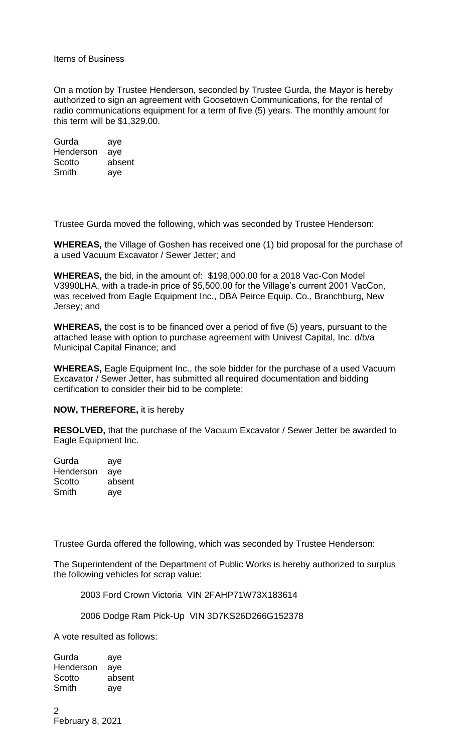Items of Business

On a motion by Trustee Henderson, seconded by Trustee Gurda, the Mayor is hereby authorized to sign an agreement with Goosetown Communications, for the rental of radio communications equipment for a term of five (5) years. The monthly amount for this term will be \$1,329.00.

Gurda aye Henderson aye Scotto absent Smith aye

Trustee Gurda moved the following, which was seconded by Trustee Henderson:

**WHEREAS,** the Village of Goshen has received one (1) bid proposal for the purchase of a used Vacuum Excavator / Sewer Jetter; and

**WHEREAS,** the bid, in the amount of: \$198,000.00 for a 2018 Vac-Con Model V3990LHA, with a trade-in price of \$5,500.00 for the Village's current 2001 VacCon, was received from Eagle Equipment Inc., DBA Peirce Equip. Co., Branchburg, New Jersey; and

**WHEREAS,** the cost is to be financed over a period of five (5) years, pursuant to the attached lease with option to purchase agreement with Univest Capital, Inc. d/b/a Municipal Capital Finance; and

**WHEREAS,** Eagle Equipment Inc., the sole bidder for the purchase of a used Vacuum Excavator / Sewer Jetter, has submitted all required documentation and bidding certification to consider their bid to be complete;

## **NOW, THEREFORE,** it is hereby

**RESOLVED,** that the purchase of the Vacuum Excavator / Sewer Jetter be awarded to Eagle Equipment Inc.

| Gurda     | aye    |
|-----------|--------|
| Henderson | ave    |
| Scotto    | absent |
| Smith     | aye    |

Trustee Gurda offered the following, which was seconded by Trustee Henderson:

The Superintendent of the Department of Public Works is hereby authorized to surplus the following vehicles for scrap value:

2003 Ford Crown Victoria VIN 2FAHP71W73X183614

2006 Dodge Ram Pick-Up VIN 3D7KS26D266G152378

A vote resulted as follows:

Gurda aye Henderson aye Scotto absent Smith aye

 $\mathfrak{D}$ February 8, 2021